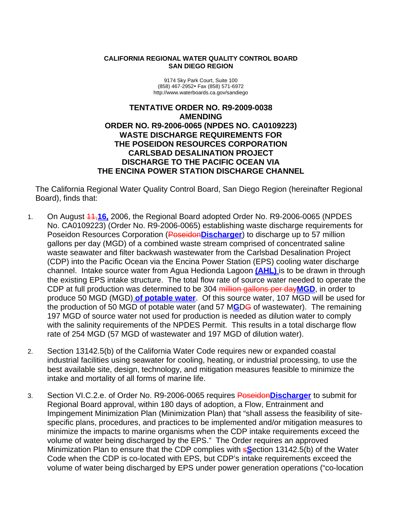#### **CALIFORNIA REGIONAL WATER QUALITY CONTROL BOARD SAN DIEGO REGION**

9174 Sky Park Court, Suite 100 (858) 467-2952y Fax (858) 571-6972 http://www.waterboards.ca.gov/sandiego

#### **TENTATIVE ORDER NO. R9-2009-0038 AMENDING ORDER NO. R9-2006-0065 (NPDES NO. CA0109223) WASTE DISCHARGE REQUIREMENTS FOR THE POSEIDON RESOURCES CORPORATION CARLSBAD DESALINATION PROJECT DISCHARGE TO THE PACIFIC OCEAN VIA THE ENCINA POWER STATION DISCHARGE CHANNEL**

The California Regional Water Quality Control Board, San Diego Region (hereinafter Regional Board), finds that:

- 1. On August 11,**16,** 2006, the Regional Board adopted Order No. R9-2006-0065 (NPDES No. CA0109223) (Order No. R9-2006-0065) establishing waste discharge requirements for Poseidon Resources Corporation (Poseidon**Discharger**) to discharge up to 57 million gallons per day (MGD) of a combined waste stream comprised of concentrated saline waste seawater and filter backwash wastewater from the Carlsbad Desalination Project (CDP) into the Pacific Ocean via the Encina Power Station (EPS) cooling water discharge channel. Intake source water from Agua Hedionda Lagoon **(AHL)** is to be drawn in through the existing EPS intake structure. The total flow rate of source water needed to operate the CDP at full production was determined to be 304 million gallons per day**MGD**, in order to produce 50 MGD (MGD) **of potable water**. Of this source water, 107 MGD will be used for the production of 50 MGD of potable water (and 57 M**G**DG of wastewater). The remaining 197 MGD of source water not used for production is needed as dilution water to comply with the salinity requirements of the NPDES Permit. This results in a total discharge flow rate of 254 MGD (57 MGD of wastewater and 197 MGD of dilution water).
- 2. Section 13142.5(b) of the California Water Code requires new or expanded coastal industrial facilities using seawater for cooling, heating, or industrial processing, to use the best available site, design, technology, and mitigation measures feasible to minimize the intake and mortality of all forms of marine life.
- 3. Section VI.C.2.e. of Order No. R9-2006-0065 requires Poseidon**Discharger** to submit for Regional Board approval, within 180 days of adoption, a Flow, Entrainment and Impingement Minimization Plan (Minimization Plan) that "shall assess the feasibility of sitespecific plans, procedures, and practices to be implemented and/or mitigation measures to minimize the impacts to marine organisms when the CDP intake requirements exceed the volume of water being discharged by the EPS." The Order requires an approved Minimization Plan to ensure that the CDP complies with s**S**ection 13142.5(b) of the Water Code when the CDP is co-located with EPS, but CDP's intake requirements exceed the volume of water being discharged by EPS under power generation operations ("co-location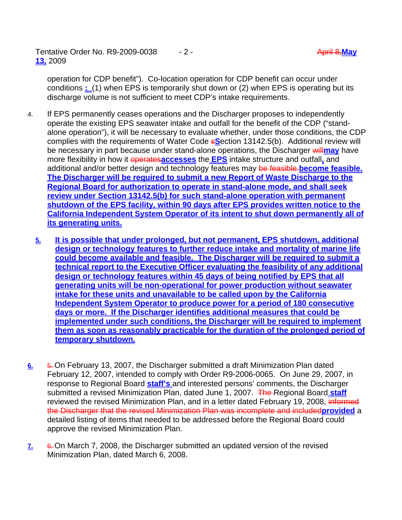operation for CDP benefit"). Co-location operation for CDP benefit can occur under conditions **:** (1) when EPS is temporarily shut down or (2) when EPS is operating but its discharge volume is not sufficient to meet CDP's intake requirements.

- 4. If EPS permanently ceases operations and the Discharger proposes to independently operate the existing EPS seawater intake and outfall for the benefit of the CDP ("standalone operation"), it will be necessary to evaluate whether, under those conditions, the CDP complies with the requirements of Water Code s**S**ection 13142.5(b). Additional review will be necessary in part because under stand-alone operations, the Discharger will may have more flexibility in how it operates**accesses** the **EPS** intake structure and outfall**,** and additional and/or better design and technology features may be feasible. **become feasible. The Discharger will be required to submit a new Report of Waste Discharge to the Regional Board for authorization to operate in stand-alone mode, and shall seek review under Section 13142.5(b) for such stand-alone operation with permanent shutdown of the EPS facility, within 90 days after EPS provides written notice to the California Independent System Operator of its intent to shut down permanently all of its generating units.** 
	- **5. It is possible that under prolonged, but not permanent, EPS shutdown, additional design or technology features to further reduce intake and mortality of marine life could become available and feasible. The Discharger will be required to submit a technical report to the Executive Officer evaluating the feasibility of any additional design or technology features within 45 days of being notified by EPS that all generating units will be non-operational for power production without seawater intake for these units and unavailable to be called upon by the California Independent System Operator to produce power for a period of 180 consecutive days or more. If the Discharger identifies additional measures that could be implemented under such conditions, the Discharger will be required to implement them as soon as reasonably practicable for the duration of the prolonged period of temporary shutdown.**
- **6.** 5. On February 13, 2007, the Discharger submitted a draft Minimization Plan dated February 12, 2007, intended to comply with Order R9-2006-0065. On June 29, 2007, in response to Regional Board **staff's** and interested persons' comments, the Discharger submitted a revised Minimization Plan, dated June 1, 2007. The Regional Board staff reviewed the revised Minimization Plan, and in a letter dated February 19, 2008, informed the Discharger that the revised Minimization Plan was incomplete and included**provided** a detailed listing of items that needed to be addressed before the Regional Board could approve the revised Minimization Plan.
- **7.** 6. On March 7, 2008, the Discharger submitted an updated version of the revised Minimization Plan, dated March 6, 2008.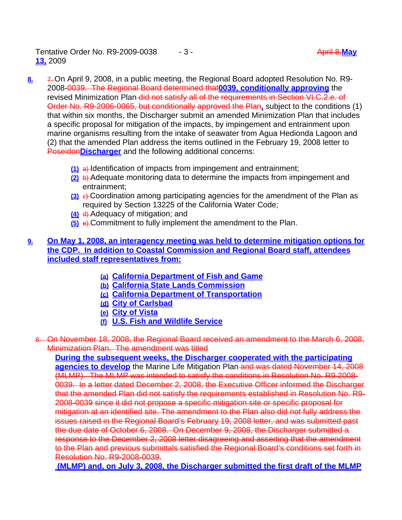Tentative Order No. R9-2009-0038 - 3 - April 8,**May 13,** 2009

- **8.** 7. On April 9, 2008, in a public meeting, the Regional Board adopted Resolution No. R9- 2008-0039. The Regional Board determined that**0039, conditionally approving** the revised Minimization Plan-did not satisfy all of the requirements in Section VI.C.2.e. of Order No. R9-2006-0065, but conditionally approved the Plan**,** subject to the conditions (1) that within six months, the Discharger submit an amended Minimization Plan that includes a specific proposal for mitigation of the impacts, by impingement and entrainment upon marine organisms resulting from the intake of seawater from Agua Hedionda Lagoon and (2) that the amended Plan address the items outlined in the February 19, 2008 letter to Poseidon**Discharger** and the following additional concerns:
	- **(1)** a) Identification of impacts from impingement and entrainment;
	- **(2)** b) Adequate monitoring data to determine the impacts from impingement and entrainment;
	- **(3)** c) Coordination among participating agencies for the amendment of the Plan as required by Section 13225 of the California Water Code;
	- **(4)** d) Adequacy of mitigation; and
	- **(5)** e) Commitment to fully implement the amendment to the Plan.
- **9. On May 1, 2008, an interagency meeting was held to determine mitigation options for the CDP. In addition to Coastal Commission and Regional Board staff, attendees included staff representatives from:**
	- **(a) California Department of Fish and Game**
	- **(b) California State Lands Commission**
	- **(c) California Department of Transportation**
	- **(d) City of Carlsbad**
	- **(e) City of Vista**
	- **(f) U.S. Fish and Wildlife Service**
	- 8. On November 18, 2008, the Regional Board received an amendment to the March 6, 2008, Minimization Plan. The amendment was titled

**During the subsequent weeks, the Discharger cooperated with the participating agencies to develop** the Marine Life Mitigation Plan and was dated November 14, 2008 (MLMP). The MLMP was intended to satisfy the conditions in Resolution No. R9-2008- 0039. In a letter dated December 2, 2008, the Executive Officer informed the Discharger that the amended Plan did not satisfy the requirements established in Resolution No. R9- 2008-0039 since it did not propose a specific mitigation site or specific proposal for mitigation at an identified site. The amendment to the Plan also did not fully address the issues raised in the Regional Board's February 19, 2008 letter, and was submitted past the due date of October 6, 2008. On December 9, 2008, the Discharger submitted a response to the December 2, 2008 letter disagreeing and asserting that the amendment to the Plan and previous submittals satisfied the Regional Board's conditions set forth in Resolution No. R9-2008-0039.

 **(MLMP) and, on July 3, 2008, the Discharger submitted the first draft of the MLMP**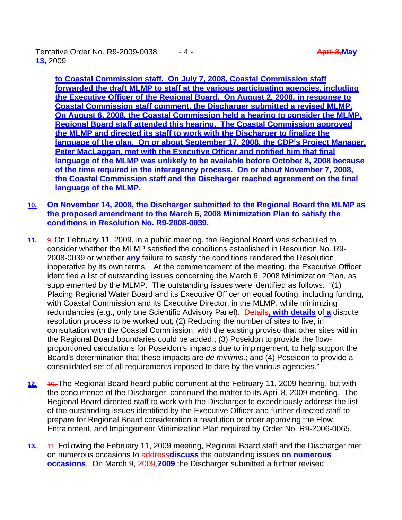Tentative Order No. R9-2009-0038  $-4$  - April 8, May and April 8, May **13,** 2009

**to Coastal Commission staff. On July 7, 2008, Coastal Commission staff forwarded the draft MLMP to staff at the various participating agencies, including the Executive Officer of the Regional Board. On August 2, 2008, in response to Coastal Commission staff comment, the Discharger submitted a revised MLMP. On August 6, 2008, the Coastal Commission held a hearing to consider the MLMP. Regional Board staff attended this hearing. The Coastal Commission approved the MLMP and directed its staff to work with the Discharger to finalize the language of the plan. On or about September 17, 2008, the CDP's Project Manager, Peter MacLaggan, met with the Executive Officer and notified him that final language of the MLMP was unlikely to be available before October 8, 2008 because of the time required in the interagency process. On or about November 7, 2008, the Coastal Commission staff and the Discharger reached agreement on the final language of the MLMP.**

- **10. On November 14, 2008, the Discharger submitted to the Regional Board the MLMP as the proposed amendment to the March 6, 2008 Minimization Plan to satisfy the conditions in Resolution No. R9-2008-0039.**
- **11.** 9. On February 11, 2009, in a public meeting, the Regional Board was scheduled to consider whether the MLMP satisfied the conditions established in Resolution No. R9- 2008-0039 or whether **any** failure to satisfy the conditions rendered the Resolution inoperative by its own terms. At the commencement of the meeting, the Executive Officer identified a list of outstanding issues concerning the March 6, 2008 Minimization Plan, as supplemented by the MLMP. The outstanding issues were identified as follows: "(1) Placing Regional Water Board and its Executive Officer on equal footing, including funding, with Coastal Commission and its Executive Director, in the MLMP, while minimizing redundancies (e.g., only one Scientific Advisory Panel). Details**, with details** of **a** dispute resolution process to be worked out; (2) Reducing the number of sites to five, in consultation with the Coastal Commission, with the existing proviso that other sites within the Regional Board boundaries could be added.; (3) Poseidon to provide the flowproportioned calculations for Poseidon's impacts due to impingement, to help support the Board's determination that these impacts are *de minimis*.; and (4) Poseidon to provide a consolidated set of all requirements imposed to date by the various agencies."
- **12.** 10. The Regional Board heard public comment at the February 11, 2009 hearing, but with the concurrence of the Discharger, continued the matter to its April 8, 2009 meeting. The Regional Board directed staff to work with the Discharger to expeditiously address the list of the outstanding issues identified by the Executive Officer and further directed staff to prepare for Regional Board consideration a resolution or order approving the Flow, Entrainment, and Impingement Minimization Plan required by Order No. R9-2006-0065.
- **13.** 11. Following the February 11, 2009 meeting, Regional Board staff and the Discharger met on numerous occasions to address**discuss** the outstanding issues **on numerous occasions**. On March 9, 2009,**2009** the Discharger submitted a further revised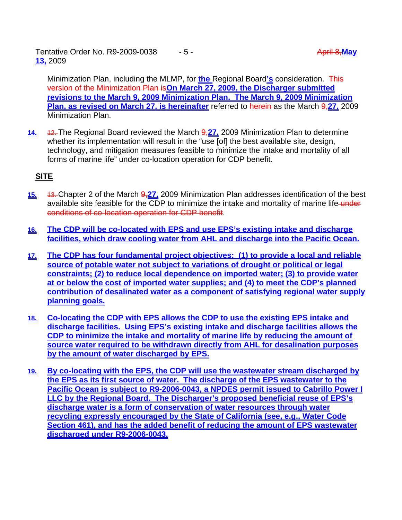Tentative Order No. R9-2009-0038 - 5 - April 8, May **13,** 2009

Minimization Plan, including the MLMP, for **the** Regional Board**'s** consideration. This version of the Minimization Plan is**On March 27, 2009, the Discharger submitted revisions to the March 9, 2009 Minimization Plan. The March 9, 2009 Minimization Plan, as revised on March 27, is hereinafter** referred to herein as the March 9,27, 2009 Minimization Plan.

**14.** 12. The Regional Board reviewed the March 9,**27,** 2009 Minimization Plan to determine whether its implementation will result in the "use [of] the best available site, design, technology, and mitigation measures feasible to minimize the intake and mortality of all forms of marine life" under co-location operation for CDP benefit.

# **SITE**

- **15.** 13. Chapter 2 of the March 9,**27,** 2009 Minimization Plan addresses identification of the best available site feasible for the CDP to minimize the intake and mortality of marine life-under conditions of co-location operation for CDP benefit.
- **16. The CDP will be co-located with EPS and use EPS's existing intake and discharge facilities, which draw cooling water from AHL and discharge into the Pacific Ocean.**
- **17. The CDP has four fundamental project objectives: (1) to provide a local and reliable source of potable water not subject to variations of drought or political or legal constraints; (2) to reduce local dependence on imported water; (3) to provide water at or below the cost of imported water supplies; and (4) to meet the CDP's planned contribution of desalinated water as a component of satisfying regional water supply planning goals.**
- **18. Co-locating the CDP with EPS allows the CDP to use the existing EPS intake and discharge facilities. Using EPS's existing intake and discharge facilities allows the CDP to minimize the intake and mortality of marine life by reducing the amount of source water required to be withdrawn directly from AHL for desalination purposes by the amount of water discharged by EPS.**
- **19. By co-locating with the EPS, the CDP will use the wastewater stream discharged by the EPS as its first source of water. The discharge of the EPS wastewater to the Pacific Ocean is subject to R9-2006-0043, a NPDES permit issued to Cabrillo Power I LLC by the Regional Board. The Discharger's proposed beneficial reuse of EPS's discharge water is a form of conservation of water resources through water recycling expressly encouraged by the State of California (see, e.g., Water Code Section 461), and has the added benefit of reducing the amount of EPS wastewater discharged under R9-2006-0043.**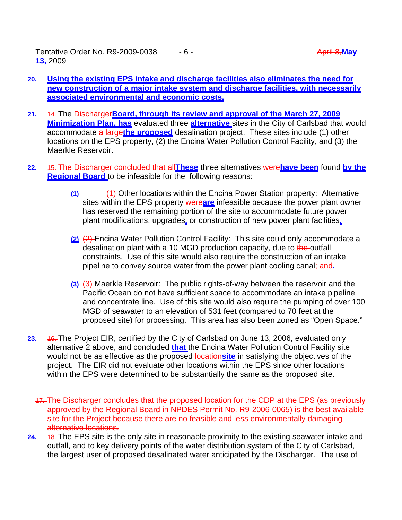Tentative Order No. R9-2009-0038  $-6$  - April 8, May and April 8, May **April 8, May 13,** 2009

- **20. Using the existing EPS intake and discharge facilities also eliminates the need for new construction of a major intake system and discharge facilities, with necessarily associated environmental and economic costs.**
- **21.** 14. The Discharger**Board, through its review and approval of the March 27, 2009 Minimization Plan, has** evaluated three **alternative** sites in the City of Carlsbad that would accommodate a large**the proposed** desalination project. These sites include (1) other locations on the EPS property, (2) the Encina Water Pollution Control Facility, and (3) the Maerkle Reservoir.
- **22.** 15. The Discharger concluded that all**These** three alternatives were**have been** found **by the Regional Board** to be infeasible for the following reasons:
	- **(1)** (1) Other locations within the Encina Power Station property: Alternative sites within the EPS property were**are** infeasible because the power plant owner has reserved the remaining portion of the site to accommodate future power plant modifications, upgrades**,** or construction of new power plant facilities**.**
	- **(2)** (2) Encina Water Pollution Control Facility: This site could only accommodate a desalination plant with a 10 MGD production capacity, due to the outfall constraints. Use of this site would also require the construction of an intake pipeline to convey source water from the power plant cooling canal; and**.**
	- **(3)** (3) Maerkle Reservoir: The public rights-of-way between the reservoir and the Pacific Ocean do not have sufficient space to accommodate an intake pipeline and concentrate line. Use of this site would also require the pumping of over 100 MGD of seawater to an elevation of 531 feet (compared to 70 feet at the proposed site) for processing. This area has also been zoned as "Open Space."
- **23.** 16. The Project EIR, certified by the City of Carlsbad on June 13, 2006, evaluated only alternative 2 above, and concluded **that** the Encina Water Pollution Control Facility site would not be as effective as the proposed locationsite in satisfying the objectives of the project. The EIR did not evaluate other locations within the EPS since other locations within the EPS were determined to be substantially the same as the proposed site.
	- 17. The Discharger concludes that the proposed location for the CDP at the EPS (as previously approved by the Regional Board in NPDES Permit No. R9-2006-0065) is the best available site for the Project because there are no feasible and less environmentally damaging alternative locations.
- 24. 48. The EPS site is the only site in reasonable proximity to the existing seawater intake and outfall, and to key delivery points of the water distribution system of the City of Carlsbad, the largest user of proposed desalinated water anticipated by the Discharger. The use of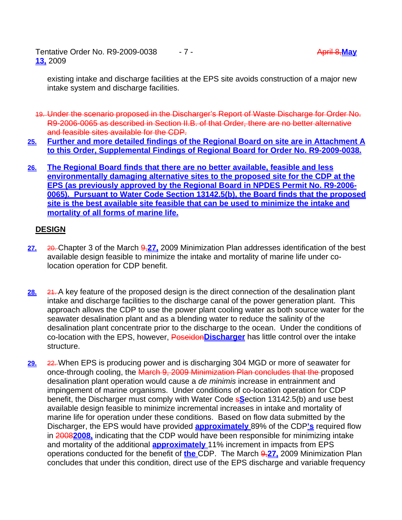Tentative Order No. R9-2009-0038 - 7 - April 8,**May 13,** 2009

existing intake and discharge facilities at the EPS site avoids construction of a major new intake system and discharge facilities.

- 19. Under the scenario proposed in the Discharger's Report of Waste Discharge for Order No. R9-2006-0065 as described in Section II.B. of that Order, there are no better alternative and feasible sites available for the CDP.
- **25. Further and more detailed findings of the Regional Board on site are in Attachment A to this Order, Supplemental Findings of Regional Board for Order No. R9-2009-0038.**
- **26. The Regional Board finds that there are no better available, feasible and less environmentally damaging alternative sites to the proposed site for the CDP at the EPS (as previously approved by the Regional Board in NPDES Permit No. R9-2006- 0065). Pursuant to Water Code Section 13142.5(b), the Board finds that the proposed site is the best available site feasible that can be used to minimize the intake and mortality of all forms of marine life.**

# **DESIGN**

- **27.** 20. Chapter 3 of the March 9,**27,** 2009 Minimization Plan addresses identification of the best available design feasible to minimize the intake and mortality of marine life under colocation operation for CDP benefit.
- **28.** 21. A key feature of the proposed design is the direct connection of the desalination plant intake and discharge facilities to the discharge canal of the power generation plant. This approach allows the CDP to use the power plant cooling water as both source water for the seawater desalination plant and as a blending water to reduce the salinity of the desalination plant concentrate prior to the discharge to the ocean. Under the conditions of co-location with the EPS, however, Poseidon**Discharger** has little control over the intake structure.
- **29.** 22. When EPS is producing power and is discharging 304 MGD or more of seawater for once-through cooling, the March 9, 2009 Minimization Plan concludes that the proposed desalination plant operation would cause a *de minimis* increase in entrainment and impingement of marine organisms. Under conditions of co-location operation for CDP benefit, the Discharger must comply with Water Code s**S**ection 13142.5(b) and use best available design feasible to minimize incremental increases in intake and mortality of marine life for operation under these conditions. Based on flow data submitted by the Discharger, the EPS would have provided **approximately** 89% of the CDP**'s** required flow in 2008**2008,** indicating that the CDP would have been responsible for minimizing intake and mortality of the additional **approximately** 11% increment in impacts from EPS operations conducted for the benefit of **the** CDP. The March 9,**27,** 2009 Minimization Plan concludes that under this condition, direct use of the EPS discharge and variable frequency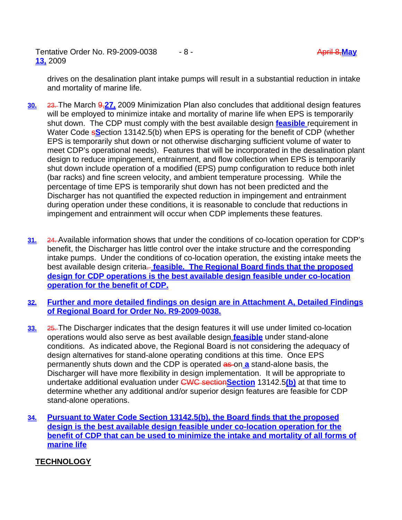Tentative Order No. R9-2009-0038 - 8 - April 8, May **April 8, May 13,** 2009

drives on the desalination plant intake pumps will result in a substantial reduction in intake and mortality of marine life.

- **30.** 23. The March 9,**27,** 2009 Minimization Plan also concludes that additional design features will be employed to minimize intake and mortality of marine life when EPS is temporarily shut down. The CDP must comply with the best available design **feasible** requirement in Water Code s**S**ection 13142.5(b) when EPS is operating for the benefit of CDP (whether EPS is temporarily shut down or not otherwise discharging sufficient volume of water to meet CDP's operational needs). Features that will be incorporated in the desalination plant design to reduce impingement, entrainment, and flow collection when EPS is temporarily shut down include operation of a modified (EPS) pump configuration to reduce both inlet (bar racks) and fine screen velocity, and ambient temperature processing. While the percentage of time EPS is temporarily shut down has not been predicted and the Discharger has not quantified the expected reduction in impingement and entrainment during operation under these conditions, it is reasonable to conclude that reductions in impingement and entrainment will occur when CDP implements these features.
- **31.** 24. Available information shows that under the conditions of co-location operation for CDP's benefit, the Discharger has little control over the intake structure and the corresponding intake pumps. Under the conditions of co-location operation, the existing intake meets the best available design criteria-feasible. The Regional Board finds that the proposed **design for CDP operations is the best available design feasible under co-location operation for the benefit of CDP.**
- **32. Further and more detailed findings on design are in Attachment A, Detailed Findings of Regional Board for Order No. R9-2009-0038.**
- **33.** 25. The Discharger indicates that the design features it will use under limited co-location operations would also serve as best available design **feasible** under stand-alone conditions. As indicated above, the Regional Board is not considering the adequacy of design alternatives for stand-alone operating conditions at this time. Once EPS permanently shuts down and the CDP is operated as on **a** stand-alone basis, the Discharger will have more flexibility in design implementation. It will be appropriate to undertake additional evaluation under CWC section**Section** 13142.5**(b)** at that time to determine whether any additional and/or superior design features are feasible for CDP stand-alone operations.
- **34. Pursuant to Water Code Section 13142.5(b), the Board finds that the proposed design is the best available design feasible under co-location operation for the benefit of CDP that can be used to minimize the intake and mortality of all forms of marine life**

# **TECHNOLOGY**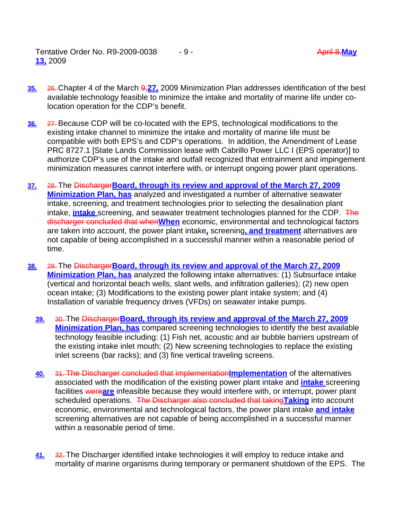Tentative Order No. R9-2009-0038 - 9 - April 8, May and April 8, May and April 8, May and April 8, May and April 8, May and April 8, May and April 8, May and April 8, May and April 8, May and April 8, May and April 8, May **13,** 2009

- **35.** 26. Chapter 4 of the March 9,**27,** 2009 Minimization Plan addresses identification of the best available technology feasible to minimize the intake and mortality of marine life under colocation operation for the CDP's benefit.
- **36.** 27. Because CDP will be co-located with the EPS, technological modifications to the existing intake channel to minimize the intake and mortality of marine life must be compatible with both EPS's and CDP's operations. In addition, the Amendment of Lease PRC 8727.1 [State Lands Commission lease with Cabrillo Power LLC I (EPS operator)] to authorize CDP's use of the intake and outfall recognized that entrainment and impingement minimization measures cannot interfere with, or interrupt ongoing power plant operations.
- **37.** 28. The Discharger**Board, through its review and approval of the March 27, 2009 Minimization Plan, has** analyzed and investigated a number of alternative seawater intake, screening, and treatment technologies prior to selecting the desalination plant intake, **intake** screening, and seawater treatment technologies planned for the CDP. The discharger concluded that when**When** economic, environmental and technological factors are taken into account, the power plant intake**,** screening**, and treatment** alternatives are not capable of being accomplished in a successful manner within a reasonable period of time.
- **38.** 29. The Discharger**Board, through its review and approval of the March 27, 2009 Minimization Plan, has** analyzed the following intake alternatives: (1) Subsurface intake (vertical and horizontal beach wells, slant wells, and infiltration galleries); (2) new open ocean intake; (3) Modifications to the existing power plant intake system; and (4) Installation of variable frequency drives (VFDs) on seawater intake pumps.
	- **39.** 30. The Discharger**Board, through its review and approval of the March 27, 2009 Minimization Plan, has** compared screening technologies to identify the best available technology feasible including: (1) Fish net, acoustic and air bubble barriers upstream of the existing intake inlet mouth; (2) New screening technologies to replace the existing inlet screens (bar racks); and (3) fine vertical traveling screens.
	- **40.** 31. The Discharger concluded that implementation**Implementation** of the alternatives associated with the modification of the existing power plant intake and **intake** screening facilities were**are** infeasible because they would interfere with, or interrupt, power plant scheduled operations. The Discharger also concluded that taking**Taking** into account economic, environmental and technological factors, the power plant intake **and intake**  screening alternatives are not capable of being accomplished in a successful manner within a reasonable period of time.
	- **41.** 32. The Discharger identified intake technologies it will employ to reduce intake and mortality of marine organisms during temporary or permanent shutdown of the EPS. The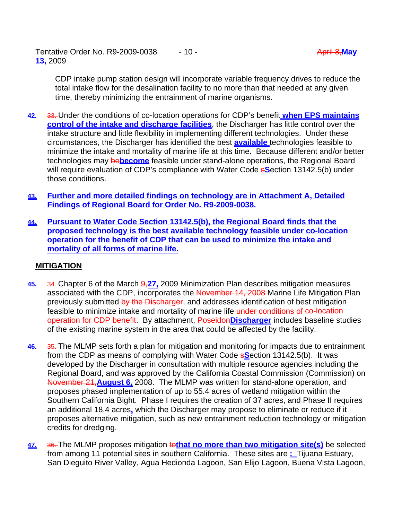Tentative Order No. R9-2009-0038 - 10 - April 8, May and April 8, May **April 8, May 13,** 2009

CDP intake pump station design will incorporate variable frequency drives to reduce the total intake flow for the desalination facility to no more than that needed at any given time, thereby minimizing the entrainment of marine organisms.

- **42.** 33. Under the conditions of co-location operations for CDP's benefit **when EPS maintains control of the intake and discharge facilities**, the Discharger has little control over the intake structure and little flexibility in implementing different technologies. Under these circumstances, the Discharger has identified the best **available** technologies feasible to minimize the intake and mortality of marine life at this time. Because different and/or better technologies may be**become** feasible under stand-alone operations, the Regional Board will require evaluation of CDP's compliance with Water Code s**S**ection 13142.5(b) under those conditions.
- **43. Further and more detailed findings on technology are in Attachment A, Detailed Findings of Regional Board for Order No. R9-2009-0038.**
- **44. Pursuant to Water Code Section 13142.5(b), the Regional Board finds that the proposed technology is the best available technology feasible under co-location operation for the benefit of CDP that can be used to minimize the intake and mortality of all forms of marine life.**

# **MITIGATION**

- **45.** 34. Chapter 6 of the March 9,**27,** 2009 Minimization Plan describes mitigation measures associated with the CDP, incorporates the November 14, 2008 Marine Life Mitigation Plan previously submitted by the Discharger, and addresses identification of best mitigation feasible to minimize intake and mortality of marine life under conditions of co-location operation for CDP benefit. By attachment, Poseidon**Discharger** includes baseline studies of the existing marine system in the area that could be affected by the facility.
- **46.** 35. The MLMP sets forth a plan for mitigation and monitoring for impacts due to entrainment from the CDP as means of complying with Water Code s**S**ection 13142.5(b). It was developed by the Discharger in consultation with multiple resource agencies including the Regional Board, and was approved by the California Coastal Commission (Commission) on November 21,**August 6,** 2008. The MLMP was written for stand-alone operation, and proposes phased implementation of up to 55.4 acres of wetland mitigation within the Southern California Bight. Phase I requires the creation of 37 acres, and Phase II requires an additional 18.4 acres**,** which the Discharger may propose to eliminate or reduce if it proposes alternative mitigation, such as new entrainment reduction technology or mitigation credits for dredging.
- **47.** 36. The MLMP proposes mitigation to**that no more than two mitigation site(s)** be selected from among 11 potential sites in southern California. These sites are **:** Tijuana Estuary, San Dieguito River Valley, Agua Hedionda Lagoon, San Elijo Lagoon, Buena Vista Lagoon,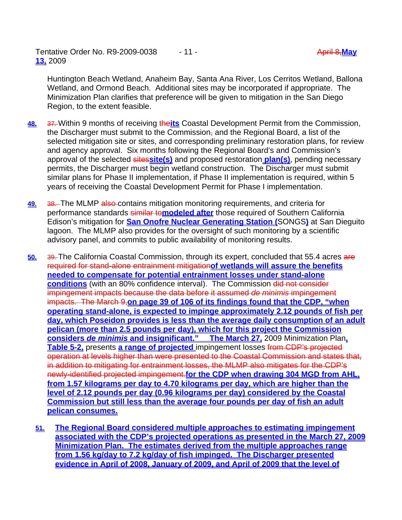Huntington Beach Wetland, Anaheim Bay, Santa Ana River, Los Cerritos Wetland, Ballona Wetland, and Ormond Beach. Additional sites may be incorporated if appropriate. The Minimization Plan clarifies that preference will be given to mitigation in the San Diego Region, to the extent feasible.

- **48.** 37. Within 9 months of receiving the**its** Coastal Development Permit from the Commission, the Discharger must submit to the Commission<sub>t</sub> and the Regional Board, a list of the selected mitigation site or sites, and corresponding preliminary restoration plans, for review and agency approval. Six months following the Regional Board's and Commission's approval of the selected sites**site(s)** and proposed restoration **plan(s)**, pending necessary permits, the Discharger must begin wetland construction. The Discharger must submit similar plans for Phase II implementation, if Phase II implementation is required, within 5 years of receiving the Coastal Development Permit for Phase I implementation.
- **49.** 38. The MLMP also contains mitigation monitoring requirements, and criteria for performance standards similar to**modeled after** those required of Southern California Edison's mitigation for **San Onofre Nuclear Generating Station (**SONGS**)** at San Dieguito lagoon. The MLMP also provides for the oversight of such monitoring by a scientific advisory panel, and commits to public availability of monitoring results.
- **50.** 39. The California Coastal Commission, through its expert, concluded that 55.4 acres are required for stand-alone entrainment mitigation**of wetlands will assure the benefits needed to compensate for potential entrainment losses under stand-alone conditions** (with an 80% confidence interval). The Commission did not consider impingement impacts because the data before it assumed *de minimis* impingement impacts. The March 9,**on page 39 of 106 of its findings found that the CDP, "when operating stand-alone, is expected to impinge approximately 2.12 pounds of fish per day, which Poseidon provides is less than the average daily consumption of an adult pelican (more than 2.5 pounds per day), which for this project the Commission considers** *de minimis* **and insignificant." The March 27,** 2009 Minimization Plan**, Table 5-2,** presents **a range of projected** impingement losses from CDP's projected operation at levels higher than were presented to the Coastal Commission and states that, in addition to mitigating for entrainment losses, the MLMP also mitigates for the CDP's newly-identified projected impingement.**for the CDP when drawing 304 MGD from AHL, from 1.57 kilograms per day to 4.70 kilograms per day, which are higher than the level of 2.12 pounds per day (0.96 kilograms per day) considered by the Coastal Commission but still less than the average four pounds per day of fish an adult pelican consumes.**
	- **51. The Regional Board considered multiple approaches to estimating impingement associated with the CDP's projected operations as presented in the March 27, 2009 Minimization Plan. The estimates derived from the multiple approaches range from 1.56 kg/day to 7.2 kg/day of fish impinged. The Discharger presented evidence in April of 2008, January of 2009, and April of 2009 that the level of**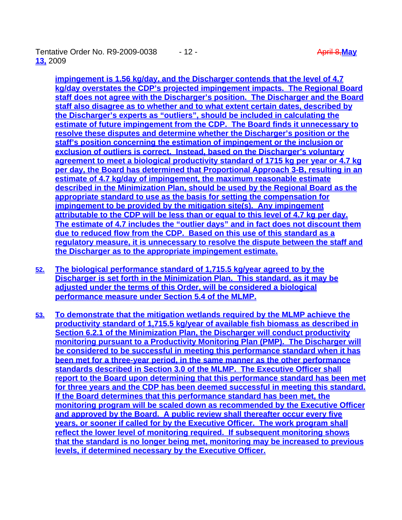Tentative Order No. R9-2009-0038 - 12 - April 8,**May 13,** 2009

**impingement is 1.56 kg/day, and the Discharger contends that the level of 4.7 kg/day overstates the CDP's projected impingement impacts. The Regional Board staff does not agree with the Discharger's position. The Discharger and the Board staff also disagree as to whether and to what extent certain dates, described by the Discharger's experts as "outliers", should be included in calculating the estimate of future impingement from the CDP. The Board finds it unnecessary to resolve these disputes and determine whether the Discharger's position or the staff's position concerning the estimation of impingement or the inclusion or exclusion of outliers is correct. Instead, based on the Discharger's voluntary agreement to meet a biological productivity standard of 1715 kg per year or 4.7 kg per day, the Board has determined that Proportional Approach 3-B, resulting in an estimate of 4.7 kg/day of impingement, the maximum reasonable estimate described in the Minimization Plan, should be used by the Regional Board as the appropriate standard to use as the basis for setting the compensation for impingement to be provided by the mitigation site(s). Any impingement attributable to the CDP will be less than or equal to this level of 4.7 kg per day. The estimate of 4.7 includes the "outlier days" and in fact does not discount them due to reduced flow from the CDP. Based on this use of this standard as a regulatory measure, it is unnecessary to resolve the dispute between the staff and the Discharger as to the appropriate impingement estimate.**

- **52. The biological performance standard of 1,715.5 kg/year agreed to by the Discharger is set forth in the Minimization Plan. This standard, as it may be adjusted under the terms of this Order, will be considered a biological performance measure under Section 5.4 of the MLMP.**
- **53. To demonstrate that the mitigation wetlands required by the MLMP achieve the productivity standard of 1,715.5 kg/year of available fish biomass as described in Section 6.2.1 of the Minimization Plan, the Discharger will conduct productivity monitoring pursuant to a Productivity Monitoring Plan (PMP). The Discharger will be considered to be successful in meeting this performance standard when it has been met for a three-year period, in the same manner as the other performance standards described in Section 3.0 of the MLMP. The Executive Officer shall report to the Board upon determining that this performance standard has been met for three years and the CDP has been deemed successful in meeting this standard. If the Board determines that this performance standard has been met, the monitoring program will be scaled down as recommended by the Executive Officer and approved by the Board. A public review shall thereafter occur every five years, or sooner if called for by the Executive Officer. The work program shall reflect the lower level of monitoring required. If subsequent monitoring shows that the standard is no longer being met, monitoring may be increased to previous levels, if determined necessary by the Executive Officer.**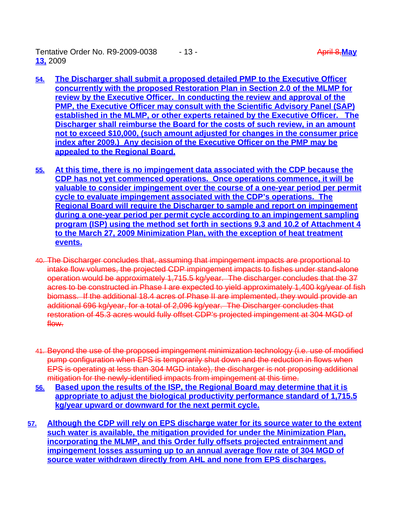Tentative Order No. R9-2009-0038 - 13 - April 8,**May 13,** 2009

- **54. The Discharger shall submit a proposed detailed PMP to the Executive Officer concurrently with the proposed Restoration Plan in Section 2.0 of the MLMP for review by the Executive Officer. In conducting the review and approval of the PMP, the Executive Officer may consult with the Scientific Advisory Panel (SAP) established in the MLMP, or other experts retained by the Executive Officer. The Discharger shall reimburse the Board for the costs of such review, in an amount not to exceed \$10,000, (such amount adjusted for changes in the consumer price index after 2009.) Any decision of the Executive Officer on the PMP may be appealed to the Regional Board.**
- **55. At this time, there is no impingement data associated with the CDP because the CDP has not yet commenced operations. Once operations commence, it will be valuable to consider impingement over the course of a one-year period per permit cycle to evaluate impingement associated with the CDP's operations. The Regional Board will require the Discharger to sample and report on impingement during a one-year period per permit cycle according to an impingement sampling program (ISP) using the method set forth in sections 9.3 and 10.2 of Attachment 4 to the March 27, 2009 Minimization Plan, with the exception of heat treatment events.**
- 40. The Discharger concludes that, assuming that impingement impacts are proportional to intake flow volumes, the projected CDP impingement impacts to fishes under stand-alone operation would be approximately 1,715.5 kg/year. The discharger concludes that the 37 acres to be constructed in Phase I are expected to yield approximately 1,400 kg/year of fish biomass. If the additional 18.4 acres of Phase II are implemented, they would provide an additional 696 kg/year, for a total of 2,096 kg/year. The Discharger concludes that restoration of 45.3 acres would fully offset CDP's projected impingement at 304 MGD of flow.
- 41. Beyond the use of the proposed impingement minimization technology (i.e. use of modified pump configuration when EPS is temporarily shut down and the reduction in flows when EPS is operating at less than 304 MGD intake), the discharger is not proposing additional mitigation for the newly-identified impacts from impingement at this time.
- **56. Based upon the results of the ISP, the Regional Board may determine that it is appropriate to adjust the biological productivity performance standard of 1,715.5 kg/year upward or downward for the next permit cycle.**
- **57. Although the CDP will rely on EPS discharge water for its source water to the extent such water is available, the mitigation provided for under the Minimization Plan, incorporating the MLMP, and this Order fully offsets projected entrainment and impingement losses assuming up to an annual average flow rate of 304 MGD of source water withdrawn directly from AHL and none from EPS discharges.**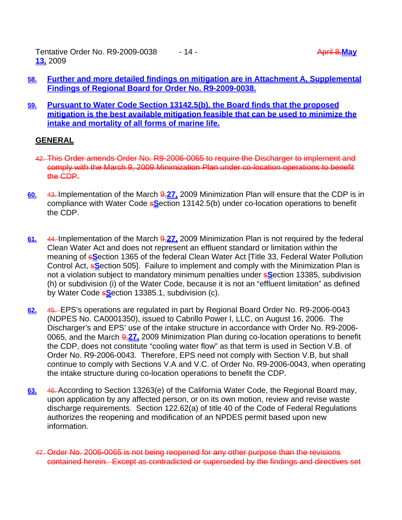Tentative Order No. R9-2009-0038 - 14 - April 8,**May 13,** 2009

- **58. Further and more detailed findings on mitigation are in Attachment A, Supplemental Findings of Regional Board for Order No. R9-2009-0038.**
- **59. Pursuant to Water Code Section 13142.5(b), the Board finds that the proposed mitigation is the best available mitigation feasible that can be used to minimize the intake and mortality of all forms of marine life.**

# **GENERAL**

- 42. This Order amends Order No. R9-2006-0065 to require the Discharger to implement and comply with the March 9, 2009 Minimization Plan under co-location operations to benefit the CDP.
- **60.** 43. Implementation of the March 9,**27,** 2009 Minimization Plan will ensure that the CDP is in compliance with Water Code s**S**ection 13142.5(b) under co-location operations to benefit the CDP.
- **61.** 44. Implementation of the March 9,**27,** 2009 Minimization Plan is not required by the federal Clean Water Act and does not represent an effluent standard or limitation within the meaning of s**S**ection 1365 of the federal Clean Water Act [Title 33, Federal Water Pollution Control Act, s**S**ection 505]. Failure to implement and comply with the Minimization Plan is not a violation subject to mandatory minimum penalties under s**S**ection 13385, subdivision (h) or subdivision (i) of the Water Code, because it is not an "effluent limitation" as defined by Water Code s**S**ection 13385.1, subdivision (c).
- **62.** 45. EPS's operations are regulated in part by Regional Board Order No. R9-2006-0043 (NDPES No. CA0001350), issued to Cabrillo Power I, LLC, on August 16, 2006. The Discharger's and EPS' use of the intake structure in accordance with Order No. R9-2006- 0065, and the March 9,**27,** 2009 Minimization Plan during co-location operations to benefit the CDP, does not constitute "cooling water flow" as that term is used in Section V.B. of Order No. R9-2006-0043. Therefore, EPS need not comply with Section V.B, but shall continue to comply with Sections V.A and V.C. of Order No. R9-2006-0043, when operating the intake structure during co-location operations to benefit the CDP.
- **63.** 46. According to Section 13263(e) of the California Water Code, the Regional Board may, upon application by any affected person, or on its own motion, review and revise waste discharge requirements. Section 122.62(a) of title 40 of the Code of Federal Regulations authorizes the reopening and modification of an NPDES permit based upon new information.
	- 47. Order No. 2006-0065 is not being reopened for any other purpose than the revisions contained herein. Except as contradicted or superseded by the findings and directives set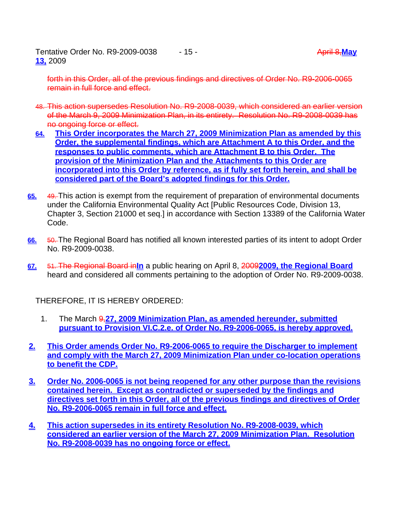Tentative Order No. R9-2009-0038 - 15 - April 8, May and April 8, May **April 8, May 13,** 2009

forth in this Order, all of the previous findings and directives of Order No. R9-2006-0065 remain in full force and effect.

- 48. This action supersedes Resolution No. R9-2008-0039, which considered an earlier version of the March 9, 2009 Minimization Plan, in its entirety. Resolution No. R9-2008-0039 has no ongoing force or effect.
- **64. This Order incorporates the March 27, 2009 Minimization Plan as amended by this Order, the supplemental findings, which are Attachment A to this Order, and the responses to public comments, which are Attachment B to this Order. The provision of the Minimization Plan and the Attachments to this Order are incorporated into this Order by reference, as if fully set forth herein, and shall be considered part of the Board's adopted findings for this Order.**
- **65.** 49. This action is exempt from the requirement of preparation of environmental documents under the California Environmental Quality Act [Public Resources Code, Division 13, Chapter 3, Section 21000 et seq.] in accordance with Section 13389 of the California Water Code.
- **66.** 50. The Regional Board has notified all known interested parties of its intent to adopt Order No. R9-2009-0038.
- **67.** 51. The Regional Board in**In** a public hearing on April 8, 2009**2009, the Regional Board** heard and considered all comments pertaining to the adoption of Order No. R9-2009-0038.

THEREFORE, IT IS HEREBY ORDERED:

- 1. The March 9,**27, 2009 Minimization Plan, as amended hereunder, submitted pursuant to Provision VI.C.2.e. of Order No. R9-2006-0065, is hereby approved.**
- **2. This Order amends Order No. R9-2006-0065 to require the Discharger to implement and comply with the March 27, 2009 Minimization Plan under co-location operations to benefit the CDP.**
- **3. Order No. 2006-0065 is not being reopened for any other purpose than the revisions contained herein. Except as contradicted or superseded by the findings and directives set forth in this Order, all of the previous findings and directives of Order No. R9-2006-0065 remain in full force and effect.**
- **4. This action supersedes in its entirety Resolution No. R9-2008-0039, which considered an earlier version of the March 27, 2009 Minimization Plan. Resolution No. R9-2008-0039 has no ongoing force or effect.**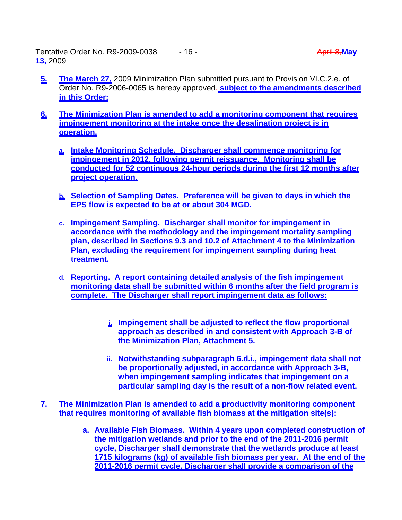Tentative Order No. R9-2009-0038  $\qquad 16 - \qquad$  April 8, May **13,** 2009

- **5. The March 27,** 2009 Minimization Plan submitted pursuant to Provision VI.C.2.e. of Order No. R9-2006-0065 is hereby approved. **subject to the amendments described in this Order:**
- **6. The Minimization Plan is amended to add a monitoring component that requires impingement monitoring at the intake once the desalination project is in operation.**
	- **a. Intake Monitoring Schedule. Discharger shall commence monitoring for impingement in 2012, following permit reissuance. Monitoring shall be conducted for 52 continuous 24-hour periods during the first 12 months after project operation.**
	- **b. Selection of Sampling Dates. Preference will be given to days in which the EPS flow is expected to be at or about 304 MGD.**
	- **c. Impingement Sampling. Discharger shall monitor for impingement in accordance with the methodology and the impingement mortality sampling plan, described in Sections 9.3 and 10.2 of Attachment 4 to the Minimization Plan, excluding the requirement for impingement sampling during heat treatment.**
	- **d. Reporting. A report containing detailed analysis of the fish impingement monitoring data shall be submitted within 6 months after the field program is complete. The Discharger shall report impingement data as follows:**
		- **i. Impingement shall be adjusted to reflect the flow proportional approach as described in and consistent with Approach 3-B of the Minimization Plan, Attachment 5.**
		- **ii. Notwithstanding subparagraph 6.d.i., impingement data shall not be proportionally adjusted, in accordance with Approach 3-B, when impingement sampling indicates that impingement on a particular sampling day is the result of a non-flow related event.**
- **7. The Minimization Plan is amended to add a productivity monitoring component that requires monitoring of available fish biomass at the mitigation site(s):**
	- **a. Available Fish Biomass. Within 4 years upon completed construction of the mitigation wetlands and prior to the end of the 2011-2016 permit cycle, Discharger shall demonstrate that the wetlands produce at least 1715 kilograms (kg) of available fish biomass per year. At the end of the 2011-2016 permit cycle, Discharger shall provide a comparison of the**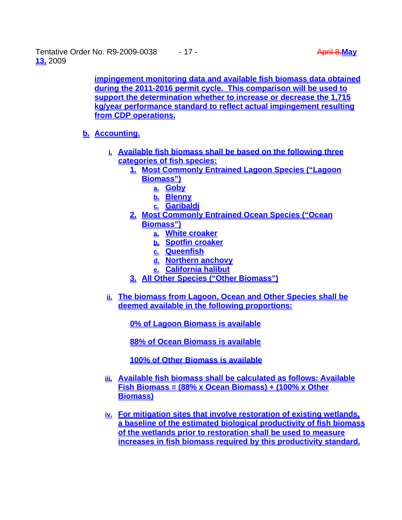Tentative Order No. R9-2009-0038 - 17 - April 8, May and April 8, May and April 8, May and April 8, May and April 8, May and April 8, May and April 8, May and April 8, May and April 8, May and April 8, May and April 8, May **13,** 2009

**impingement monitoring data and available fish biomass data obtained during the 2011-2016 permit cycle. This comparison will be used to support the determination whether to increase or decrease the 1,715 kg/year performance standard to reflect actual impingement resulting from CDP operations.**

# **b. Accounting.**

- **i. Available fish biomass shall be based on the following three categories of fish species:**
	- **1. Most Commonly Entrained Lagoon Species ("Lagoon Biomass")**
		- **a. Goby**
		- **b. Blenny**
		- **c. Garibaldi**
	- **2. Most Commonly Entrained Ocean Species ("Ocean Biomass")**
		- **a. White croaker**
		- **b. Spotfin croaker**
		- **c. Queenfish**
		- **d. Northern anchovy**
		- **e. California halibut**
	- **3. All Other Species ("Other Biomass")**
- **ii. The biomass from Lagoon, Ocean and Other Species shall be deemed available in the following proportions:**

**0% of Lagoon Biomass is available** 

**88% of Ocean Biomass is available**

**100% of Other Biomass is available**

- **iii. Available fish biomass shall be calculated as follows: Available Fish Biomass = (88% x Ocean Biomass) + (100% x Other Biomass)**
- **iv. For mitigation sites that involve restoration of existing wetlands, a baseline of the estimated biological productivity of fish biomass of the wetlands prior to restoration shall be used to measure increases in fish biomass required by this productivity standard.**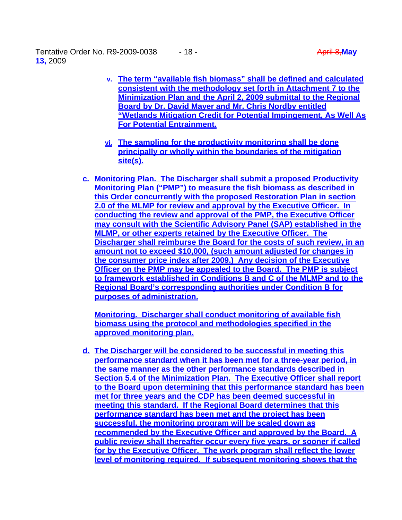Tentative Order No. R9-2009-0038  $\qquad 18 - \qquad$  April 8, May **13,** 2009

- **v. The term "available fish biomass" shall be defined and calculated consistent with the methodology set forth in Attachment 7 to the Minimization Plan and the April 2, 2009 submittal to the Regional Board by Dr. David Mayer and Mr. Chris Nordby entitled "Wetlands Mitigation Credit for Potential Impingement, As Well As For Potential Entrainment.**
- **vi. The sampling for the productivity monitoring shall be done principally or wholly within the boundaries of the mitigation site(s).**
- **c. Monitoring Plan. The Discharger shall submit a proposed Productivity Monitoring Plan ("PMP") to measure the fish biomass as described in this Order concurrently with the proposed Restoration Plan in section 2.0 of the MLMP for review and approval by the Executive Officer. In conducting the review and approval of the PMP, the Executive Officer may consult with the Scientific Advisory Panel (SAP) established in the MLMP, or other experts retained by the Executive Officer. The Discharger shall reimburse the Board for the costs of such review, in an amount not to exceed \$10,000, (such amount adjusted for changes in the consumer price index after 2009.) Any decision of the Executive Officer on the PMP may be appealed to the Board. The PMP is subject to framework established in Conditions B and C of the MLMP and to the Regional Board's corresponding authorities under Condition B for purposes of administration.**

**Monitoring. Discharger shall conduct monitoring of available fish biomass using the protocol and methodologies specified in the approved monitoring plan.**

**d. The Discharger will be considered to be successful in meeting this performance standard when it has been met for a three-year period, in the same manner as the other performance standards described in Section 5.4 of the Minimization Plan. The Executive Officer shall report to the Board upon determining that this performance standard has been met for three years and the CDP has been deemed successful in meeting this standard. If the Regional Board determines that this performance standard has been met and the project has been successful, the monitoring program will be scaled down as recommended by the Executive Officer and approved by the Board. A public review shall thereafter occur every five years, or sooner if called for by the Executive Officer. The work program shall reflect the lower level of monitoring required. If subsequent monitoring shows that the**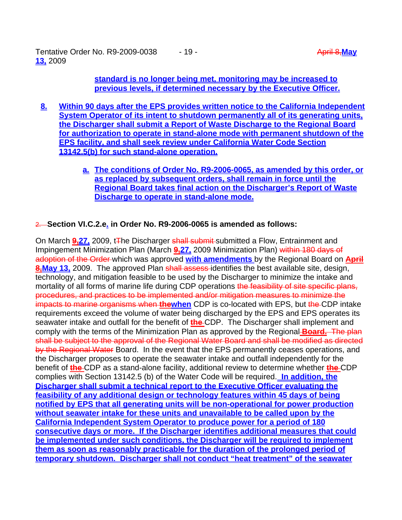Tentative Order No. R9-2009-0038 - 19 - April 8, May 19 - April 8, May 19 - April 8, May 19 - April 8, May 19 - April 8, May 19 - April 8, May 19 - April 8, May 19 - April 8, May 19 - April 8, May 19 - April 8, May 19 - Ap **13,** 2009

**standard is no longer being met, monitoring may be increased to previous levels, if determined necessary by the Executive Officer.**

- **8. Within 90 days after the EPS provides written notice to the California Independent System Operator of its intent to shutdown permanently all of its generating units, the Discharger shall submit a Report of Waste Discharge to the Regional Board for authorization to operate in stand-alone mode with permanent shutdown of the EPS facility, and shall seek review under California Water Code Section 13142.5(b) for such stand-alone operation.** 
	- **a. The conditions of Order No. R9-2006-0065, as amended by this order, or as replaced by subsequent orders, shall remain in force until the Regional Board takes final action on the Discharger's Report of Waste Discharge to operate in stand-alone mode.**

# 2. **Section VI.C.2.e. in Order No. R9-2006-0065 is amended as follows:**

On March **9,27,** 2009, t<sub>T</sub>he Discharger shall submit-submitted a Flow, Entrainment and Impingement Minimization Plan (March **9,27,** 2009 Minimization Plan) within 180 days of adoption of the Order which was approved **with amendments** by the Regional Board on **April 8.May 13,** 2009. The approved Plan shall assess-identifies the best available site, design, technology, and mitigation feasible to be used by the Discharger to minimize the intake and mortality of all forms of marine life during CDP operations the feasibility of site specific plans, procedures, and practices to be implemented and/or mitigation measures to minimize the impacts to marine organisms when **thewhen** CDP is co-located with EPS, but the CDP intake requirements exceed the volume of water being discharged by the EPS and EPS operates its seawater intake and outfall for the benefit of **the** CDP. The Discharger shall implement and comply with the terms of the Minimization Plan as approved by the Regional **Board.** The plan shall be subject to the approval of the Regional Water Board and shall be modified as directed by the Regional Water Board. In the event that the EPS permanently ceases operations, and the Discharger proposes to operate the seawater intake and outfall independently for the benefit of **the** CDP as a stand-alone facility, additional review to determine whether **the** CDP complies with Section 13142.5 (b) of the Water Code will be required. **In addition, the Discharger shall submit a technical report to the Executive Officer evaluating the feasibility of any additional design or technology features within 45 days of being notified by EPS that all generating units will be non-operational for power production without seawater intake for these units and unavailable to be called upon by the California Independent System Operator to produce power for a period of 180 consecutive days or more. If the Discharger identifies additional measures that could be implemented under such conditions, the Discharger will be required to implement them as soon as reasonably practicable for the duration of the prolonged period of temporary shutdown. Discharger shall not conduct "heat treatment" of the seawater**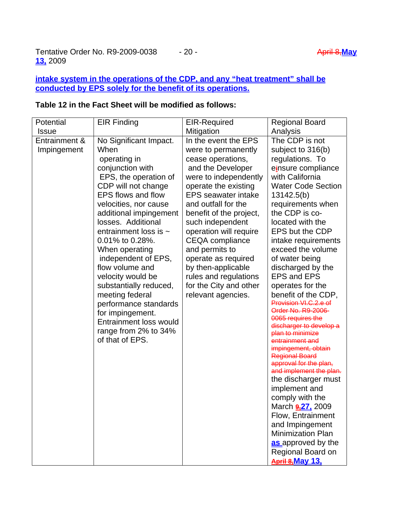# **intake system in the operations of the CDP, and any "heat treatment" shall be conducted by EPS solely for the benefit of its operations.**

#### **Potential Issue** EIR Finding EIR-Required **Mitigation** Regional Board Analysis Entrainment & Impingement No Significant Impact. When operating in conjunction with EPS, the operation of CDP will not change EPS flows and flow velocities, nor cause additional impingement losses. Additional entrainment loss is ~ 0.01% to 0.28%. When operating independent of EPS, flow volume and velocity would be substantially reduced, meeting federal performance standards for impingement. Entrainment loss would range from 2% to 34% of that of EPS. In the event the EPS were to permanently cease operations, and the Developer were to independently operate the existing EPS seawater intake and outfall for the benefit of the project, such independent operation will require CEQA compliance and permits to operate as required by then-applicable rules and regulations for the City and other relevant agencies. The CDP is not subject to 316(b) regulations. To e**i**nsure compliance with California Water Code Section 13142.5(b) requirements when the CDP is colocated with the EPS but the CDP intake requirements exceed the volume of water being discharged by the EPS and EPS operates for the benefit of the CDP, Provision VI.C.2.e of Order No. R9-2006- 0065 requires the discharger to develop a plan to minimize entrainment and impingement, obtain Regional Board approval for the plan, and implement the plan. the discharger must implement and comply with the March **9,27,** 2009 Flow, Entrainment and Impingement Minimization Plan **as** approved by the Regional Board on **April 8,May 13,**

# **Table 12 in the Fact Sheet will be modified as follows:**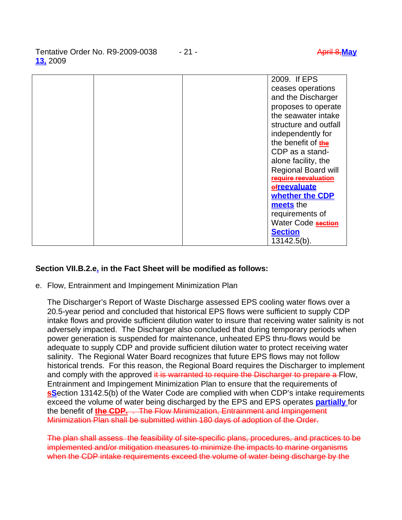Tentative Order No. R9-2009-0038 - 21 - April 8,**May 13,** 2009

|  | 2009. If EPS                    |
|--|---------------------------------|
|  | ceases operations               |
|  | and the Discharger              |
|  | proposes to operate             |
|  | the seawater intake             |
|  | structure and outfall           |
|  | independently for               |
|  | the benefit of the              |
|  | CDP as a stand-                 |
|  | alone facility, the             |
|  | <b>Regional Board will</b>      |
|  | <del>require reevaluation</del> |
|  | efreevaluate                    |
|  | whether the CDP                 |
|  | meets the                       |
|  | requirements of                 |
|  | Water Code section              |
|  | <b>Section</b>                  |
|  | 13142.5(b).                     |

# **Section VII.B.2.e. in the Fact Sheet will be modified as follows:**

e. Flow, Entrainment and Impingement Minimization Plan

 The Discharger's Report of Waste Discharge assessed EPS cooling water flows over a 20.5-year period and concluded that historical EPS flows were sufficient to supply CDP intake flows and provide sufficient dilution water to insure that receiving water salinity is not adversely impacted. The Discharger also concluded that during temporary periods when power generation is suspended for maintenance, unheated EPS thru-flows would be adequate to supply CDP and provide sufficient dilution water to protect receiving water salinity. The Regional Water Board recognizes that future EPS flows may not follow historical trends. For this reason, the Regional Board requires the Discharger to implement and comply with the approved it is warranted to require the Discharger to prepare a Flow, Entrainment and Impingement Minimization Plan to ensure that the requirements of **s**Section 13142.5(b) of the Water Code are complied with when CDP's intake requirements exceed the volume of water being discharged by the EPS and EPS operates **partially** for the benefit of **the CDP.** . The Flow Minimization, Entrainment and Impingement Minimization Plan shall be submitted within 180 days of adoption of the Order.

The plan shall assess the feasibility of site-specific plans, procedures, and practices to be implemented and/or mitigation measures to minimize the impacts to marine organisms when the CDP intake requirements exceed the volume of water being discharge by the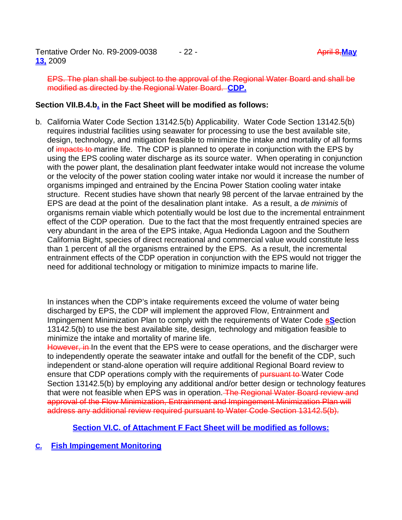EPS. The plan shall be subject to the approval of the Regional Water Board and shall be modified as directed by the Regional Water Board. **CDP.**

# **Section VII.B.4.b. in the Fact Sheet will be modified as follows:**

b. California Water Code Section 13142.5(b) Applicability. Water Code Section 13142.5(b) requires industrial facilities using seawater for processing to use the best available site, design, technology, and mitigation feasible to minimize the intake and mortality of all forms of impacts to marine life. The CDP is planned to operate in conjunction with the EPS by using the EPS cooling water discharge as its source water. When operating in conjunction with the power plant, the desalination plant feedwater intake would not increase the volume or the velocity of the power station cooling water intake nor would it increase the number of organisms impinged and entrained by the Encina Power Station cooling water intake structure. Recent studies have shown that nearly 98 percent of the larvae entrained by the EPS are dead at the point of the desalination plant intake. As a result, a *de minimis* of organisms remain viable which potentially would be lost due to the incremental entrainment effect of the CDP operation. Due to the fact that the most frequently entrained species are very abundant in the area of the EPS intake, Agua Hedionda Lagoon and the Southern California Bight, species of direct recreational and commercial value would constitute less than 1 percent of all the organisms entrained by the EPS. As a result, the incremental entrainment effects of the CDP operation in conjunction with the EPS would not trigger the need for additional technology or mitigation to minimize impacts to marine life.

 In instances when the CDP's intake requirements exceed the volume of water being discharged by EPS, the CDP will implement the approved Flow, Entrainment and Impingement Minimization Plan to comply with the requirements of Water Code **sS**ection 13142.5(b) to use the best available site, design, technology and mitigation feasible to minimize the intake and mortality of marine life.

However, in In the event that the EPS were to cease operations, and the discharger were to independently operate the seawater intake and outfall for the benefit of the CDP, such independent or stand-alone operation will require additional Regional Board review to ensure that CDP operations comply with the requirements of pursuant to Water Code Section 13142.5(b) by employing any additional and/or better design or technology features that were not feasible when EPS was in operation. The Regional Water Board review and approval of the Flow Minimization, Entrainment and Impingement Minimization Plan will address any additional review required pursuant to Water Code Section 13142.5(b).

**Section VI.C. of Attachment F Fact Sheet will be modified as follows:**

**C. Fish Impingement Monitoring**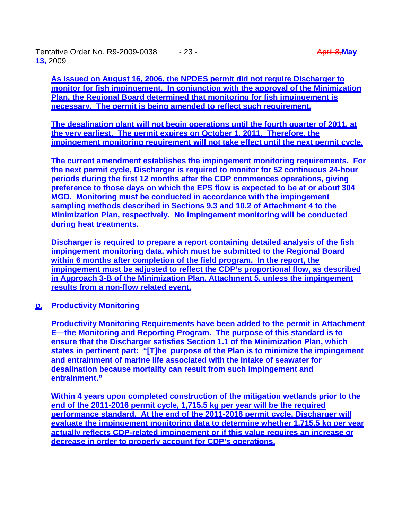Tentative Order No. R9-2009-0038 - 23 - April 8, May and April 8, May and April 8, May and April 8, May and April 8, May and April 8, May and April 8, May and April 8, May and April 8, May and April 8, May and April 8, May **13,** 2009

**As issued on August 16, 2006, the NPDES permit did not require Discharger to monitor for fish impingement. In conjunction with the approval of the Minimization Plan, the Regional Board determined that monitoring for fish impingement is necessary. The permit is being amended to reflect such requirement.**

**The desalination plant will not begin operations until the fourth quarter of 2011, at the very earliest. The permit expires on October 1, 2011. Therefore, the impingement monitoring requirement will not take effect until the next permit cycle.** 

**The current amendment establishes the impingement monitoring requirements. For the next permit cycle, Discharger is required to monitor for 52 continuous 24-hour periods during the first 12 months after the CDP commences operations, giving preference to those days on which the EPS flow is expected to be at or about 304 MGD. Monitoring must be conducted in accordance with the impingement sampling methods described in Sections 9.3 and 10.2 of Attachment 4 to the Minimization Plan, respectively. No impingement monitoring will be conducted during heat treatments.**

**Discharger is required to prepare a report containing detailed analysis of the fish impingement monitoring data, which must be submitted to the Regional Board within 6 months after completion of the field program. In the report, the impingement must be adjusted to reflect the CDP's proportional flow, as described in Approach 3-B of the Minimization Plan, Attachment 5, unless the impingement results from a non-flow related event.** 

**D. Productivity Monitoring**

**Productivity Monitoring Requirements have been added to the permit in Attachment E—the Monitoring and Reporting Program. The purpose of this standard is to ensure that the Discharger satisfies Section 1.1 of the Minimization Plan, which states in pertinent part: "[T]he purpose of the Plan is to minimize the impingement and entrainment of marine life associated with the intake of seawater for desalination because mortality can result from such impingement and entrainment."** 

**Within 4 years upon completed construction of the mitigation wetlands prior to the end of the 2011-2016 permit cycle, 1,715.5 kg per year will be the required performance standard. At the end of the 2011-2016 permit cycle, Discharger will evaluate the impingement monitoring data to determine whether 1,715.5 kg per year actually reflects CDP-related impingement or if this value requires an increase or decrease in order to properly account for CDP's operations.**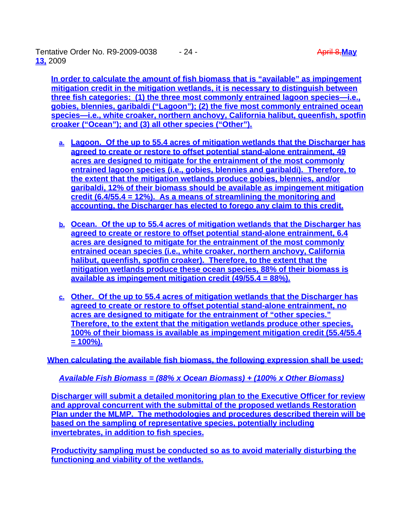Tentative Order No. R9-2009-0038 - 24 - April 8,**May 13,** 2009

**In order to calculate the amount of fish biomass that is "available" as impingement mitigation credit in the mitigation wetlands, it is necessary to distinguish between three fish categories: (1) the three most commonly entrained lagoon species—i.e., gobies, blennies, garibaldi ("Lagoon"); (2) the five most commonly entrained ocean species—i.e., white croaker, northern anchovy, California halibut, queenfish, spotfin croaker ("Ocean"); and (3) all other species ("Other").** 

- **a. Lagoon. Of the up to 55.4 acres of mitigation wetlands that the Discharger has agreed to create or restore to offset potential stand-alone entrainment, 49 acres are designed to mitigate for the entrainment of the most commonly entrained lagoon species (i.e., gobies, blennies and garibaldi). Therefore, to the extent that the mitigation wetlands produce gobies, blennies, and/or garibaldi, 12% of their biomass should be available as impingement mitigation credit (6.4/55.4 = 12%). As a means of streamlining the monitoring and accounting, the Discharger has elected to forego any claim to this credit.**
- **b. Ocean. Of the up to 55.4 acres of mitigation wetlands that the Discharger has agreed to create or restore to offset potential stand-alone entrainment, 6.4 acres are designed to mitigate for the entrainment of the most commonly entrained ocean species (i.e., white croaker, northern anchovy, California halibut, queenfish, spotfin croaker). Therefore, to the extent that the mitigation wetlands produce these ocean species, 88% of their biomass is available as impingement mitigation credit (49/55.4 = 88%).**
- **c. Other. Of the up to 55.4 acres of mitigation wetlands that the Discharger has agreed to create or restore to offset potential stand-alone entrainment, no acres are designed to mitigate for the entrainment of "other species." Therefore, to the extent that the mitigation wetlands produce other species, 100% of their biomass is available as impingement mitigation credit (55.4/55.4 = 100%).**

**When calculating the available fish biomass, the following expression shall be used:** 

*Available Fish Biomass = (88% x Ocean Biomass) + (100% x Other Biomass)*

**Discharger will submit a detailed monitoring plan to the Executive Officer for review and approval concurrent with the submittal of the proposed wetlands Restoration Plan under the MLMP. The methodologies and procedures described therein will be based on the sampling of representative species, potentially including invertebrates, in addition to fish species.** 

**Productivity sampling must be conducted so as to avoid materially disturbing the functioning and viability of the wetlands.**